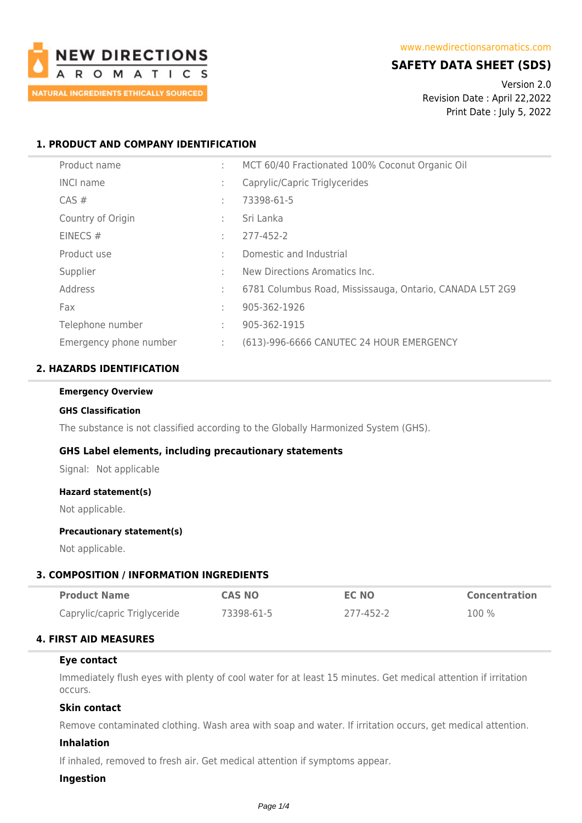

# **SAFETY DATA SHEET (SDS)**

Version 2.0 Revision Date : April 22,2022 Print Date : July 5, 2022

# **1. PRODUCT AND COMPANY IDENTIFICATION**

| Product name           | ÷ | MCT 60/40 Fractionated 100% Coconut Organic Oil          |
|------------------------|---|----------------------------------------------------------|
| <b>INCI name</b>       | ÷ | Caprylic/Capric Triglycerides                            |
| $CAS \#$               | ÷ | 73398-61-5                                               |
| Country of Origin      | ÷ | Sri Lanka                                                |
| EINECS $#$             | ÷ | 277-452-2                                                |
| Product use            | ÷ | Domestic and Industrial                                  |
| Supplier               | ÷ | New Directions Aromatics Inc.                            |
| Address                | ÷ | 6781 Columbus Road, Mississauga, Ontario, CANADA L5T 2G9 |
| Fax                    | ÷ | 905-362-1926                                             |
| Telephone number       | ÷ | 905-362-1915                                             |
| Emergency phone number | ÷ | (613)-996-6666 CANUTEC 24 HOUR EMERGENCY                 |

# **2. HAZARDS IDENTIFICATION**

#### **Emergency Overview**

#### **GHS Classification**

The substance is not classified according to the Globally Harmonized System (GHS).

# **GHS Label elements, including precautionary statements**

Signal: Not applicable

#### **Hazard statement(s)**

Not applicable.

#### **Precautionary statement(s)**

Not applicable.

# **3. COMPOSITION / INFORMATION INGREDIENTS**

| <b>Product Name</b>          | <b>CAS NO</b> | <b>EC NO</b> | <b>Concentration</b> |
|------------------------------|---------------|--------------|----------------------|
| Caprylic/capric Triglyceride | 73398-61-5    | 277-452-2    | 100%                 |

# **4. FIRST AID MEASURES**

#### **Eye contact**

Immediately flush eyes with plenty of cool water for at least 15 minutes. Get medical attention if irritation occurs.

# **Skin contact**

Remove contaminated clothing. Wash area with soap and water. If irritation occurs, get medical attention.

# **Inhalation**

If inhaled, removed to fresh air. Get medical attention if symptoms appear.

# **Ingestion**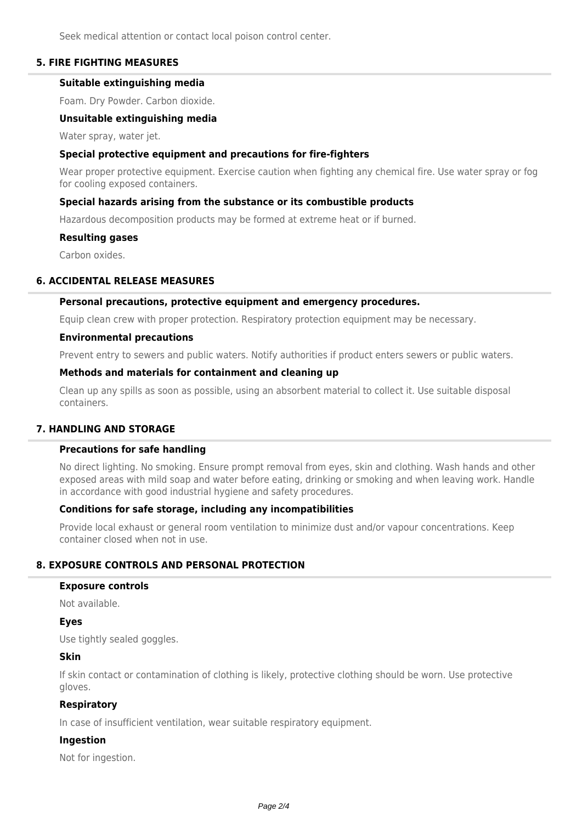Seek medical attention or contact local poison control center.

# **5. FIRE FIGHTING MEASURES**

# **Suitable extinguishing media**

Foam. Dry Powder. Carbon dioxide.

#### **Unsuitable extinguishing media**

Water spray, water jet.

### **Special protective equipment and precautions for fire-fighters**

Wear proper protective equipment. Exercise caution when fighting any chemical fire. Use water spray or fog for cooling exposed containers.

# **Special hazards arising from the substance or its combustible products**

Hazardous decomposition products may be formed at extreme heat or if burned.

#### **Resulting gases**

Carbon oxides.

### **6. ACCIDENTAL RELEASE MEASURES**

#### **Personal precautions, protective equipment and emergency procedures.**

Equip clean crew with proper protection. Respiratory protection equipment may be necessary.

#### **Environmental precautions**

Prevent entry to sewers and public waters. Notify authorities if product enters sewers or public waters.

### **Methods and materials for containment and cleaning up**

Clean up any spills as soon as possible, using an absorbent material to collect it. Use suitable disposal containers.

# **7. HANDLING AND STORAGE**

### **Precautions for safe handling**

No direct lighting. No smoking. Ensure prompt removal from eyes, skin and clothing. Wash hands and other exposed areas with mild soap and water before eating, drinking or smoking and when leaving work. Handle in accordance with good industrial hygiene and safety procedures.

### **Conditions for safe storage, including any incompatibilities**

Provide local exhaust or general room ventilation to minimize dust and/or vapour concentrations. Keep container closed when not in use.

### **8. EXPOSURE CONTROLS AND PERSONAL PROTECTION**

#### **Exposure controls**

Not available.

#### **Eyes**

Use tightly sealed goggles.

# **Skin**

If skin contact or contamination of clothing is likely, protective clothing should be worn. Use protective gloves.

#### **Respiratory**

In case of insufficient ventilation, wear suitable respiratory equipment.

#### **Ingestion**

Not for ingestion.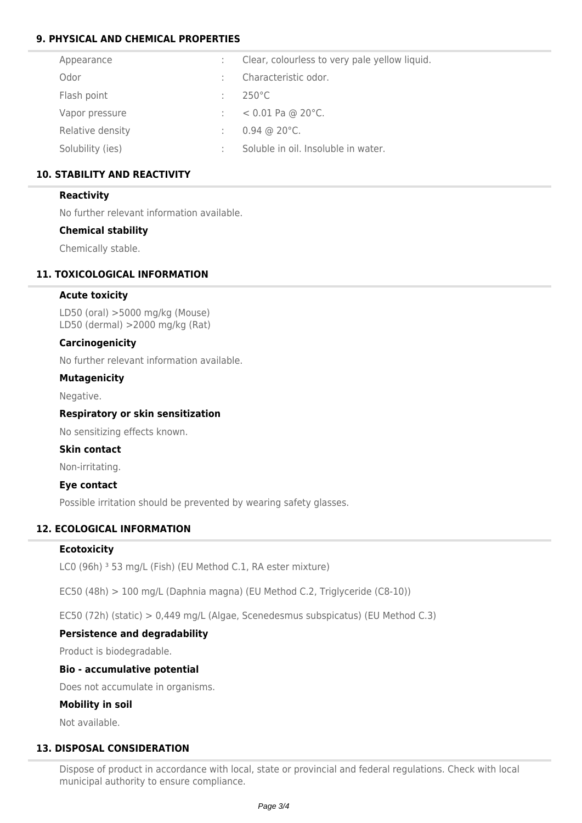# **9. PHYSICAL AND CHEMICAL PROPERTIES**

| Appearance       |   | Clear, colourless to very pale yellow liquid.     |
|------------------|---|---------------------------------------------------|
| Odor             |   | Characteristic odor.                              |
| Flash point      |   | $250^{\circ}$ C                                   |
| Vapor pressure   |   | $< 0.01$ Pa @ 20 $^{\circ}$ C.                    |
| Relative density | ÷ | $0.94 \, \textcircled{a} 20 \, \textcircled{c}$ . |
| Solubility (ies) |   | Soluble in oil. Insoluble in water.               |
|                  |   |                                                   |

# **10. STABILITY AND REACTIVITY**

# **Reactivity**

No further relevant information available.

# **Chemical stability**

Chemically stable.

# **11. TOXICOLOGICAL INFORMATION**

# **Acute toxicity**

LD50 (oral) >5000 mg/kg (Mouse) LD50 (dermal) >2000 mg/kg (Rat)

# **Carcinogenicity**

No further relevant information available.

# **Mutagenicity**

Negative.

# **Respiratory or skin sensitization**

No sensitizing effects known.

# **Skin contact**

Non-irritating.

# **Eye contact**

Possible irritation should be prevented by wearing safety glasses.

# **12. ECOLOGICAL INFORMATION**

# **Ecotoxicity**

LC0 (96h) <sup>3</sup> 53 mg/L (Fish) (EU Method C.1, RA ester mixture)

EC50 (48h) > 100 mg/L (Daphnia magna) (EU Method C.2, Triglyceride (C8-10))

EC50 (72h) (static) > 0,449 mg/L (Algae, Scenedesmus subspicatus) (EU Method C.3)

# **Persistence and degradability**

Product is biodegradable.

# **Bio - accumulative potential**

Does not accumulate in organisms.

# **Mobility in soil**

Not available.

# **13. DISPOSAL CONSIDERATION**

Dispose of product in accordance with local, state or provincial and federal regulations. Check with local municipal authority to ensure compliance.